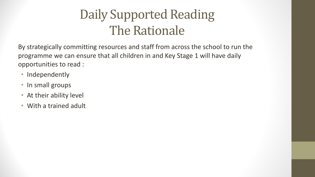#### Daily Supported Reading The Rationale

By strategically committing resources and staff from across the school to run the programme we can ensure that all children in and Key Stage 1 will have daily opportunities to read :

- Independently
- In small groups
- At their ability level
- With a trained adult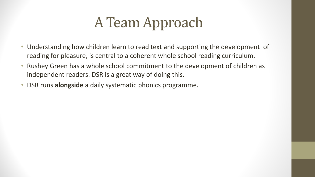## A Team Approach

- Understanding how children learn to read text and supporting the development of reading for pleasure, is central to a coherent whole school reading curriculum.
- Rushey Green has a whole school commitment to the development of children as independent readers. DSR is a great way of doing this.
- DSR runs **alongside** a daily systematic phonics programme.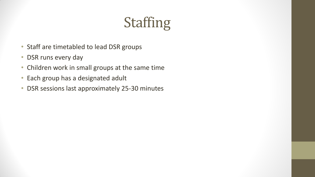# Staffing

- Staff are timetabled to lead DSR groups
- DSR runs every day
- Children work in small groups at the same time
- Each group has a designated adult
- DSR sessions last approximately 25-30 minutes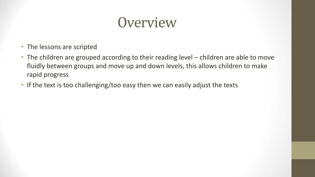#### **Overview**

- The lessons are scripted
- The children are grouped according to their reading level children are able to move fluidly between groups and move up and down levels, this allows children to make rapid progress
- If the text is too challenging/too easy then we can easily adjust the texts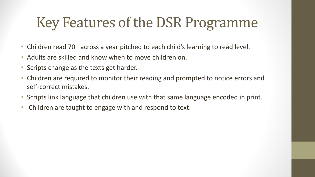## Key Features of the DSR Programme

- Children read 70+ across a year pitched to each child's learning to read level.
- Adults are skilled and know when to move children on.
- Scripts change as the texts get harder.
- Children are required to monitor their reading and prompted to notice errors and self-correct mistakes.
- Scripts link language that children use with that same language encoded in print.
- Children are taught to engage with and respond to text.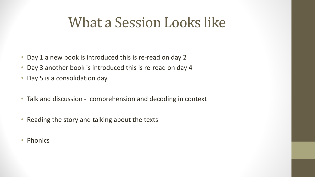#### What a Session Looks like

- Day 1 a new book is introduced this is re-read on day 2
- Day 3 another book is introduced this is re-read on day 4
- Day 5 is a consolidation day
- Talk and discussion comprehension and decoding in context
- Reading the story and talking about the texts
- Phonics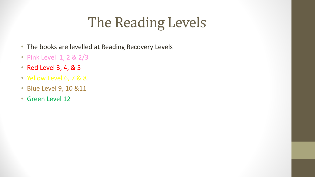## The Reading Levels

- The books are levelled at Reading Recovery Levels
- Pink Level 1, 2 & 2/3
- Red Level 3, 4, & 5
- Yellow Level 6, 7 & 8
- Blue Level 9, 10 &11
- Green Level 12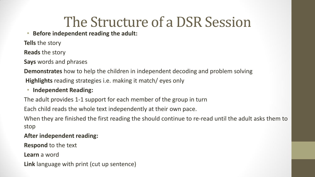### The Structure of a DSR Session

• **Before independent reading the adult:** 

**Tells** the story

**Reads** the story

**Says** words and phrases

**Demonstrates** how to help the children in independent decoding and problem solving **Highlights** reading strategies i.e. making it match/ eyes only

• **Independent Reading:** 

The adult provides 1-1 support for each member of the group in turn

Each child reads the whole text independently at their own pace.

When they are finished the first reading the should continue to re-read until the adult asks them to stop

**After independent reading:**

**Respond** to the text

**Learn** a word

**Link** language with print (cut up sentence)